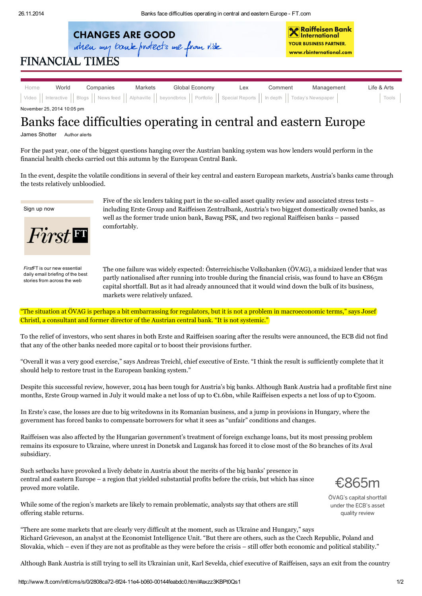

**X** Raiffeisen Bank<br>K International YOUR BUSINESS PARTNER. www.rbinternational.com

## **FINANCIAL TIMES**

| Home                       | World | Companies | Markets | Global Economy | Lex | Comment | Management | Life & Arts |
|----------------------------|-------|-----------|---------|----------------|-----|---------|------------|-------------|
|                            |       |           |         |                |     |         |            | Tools       |
| November 25, 2014 10:05 pm |       |           |         |                |     |         |            |             |

## Banks face difficulties operating in central and eastern Europe

James Shotter [Author](javascript:void(0)) alerts

For the past year, one of the biggest questions hanging over the Austrian banking system was how lenders would perform in the [financial](http://www.ft.com/indepth/ecb-stress-tests) health checks carried out this autumn by the European Central Bank.

In the event, despite the volatile conditions in several of their key central and eastern European markets, Austria's banks came through the tests relatively unbloodied.

[Sign](http://www.ft.com/nbe) up now



*First*FT is our new essential daily email briefing of the best stories from across the web

Five of the six lenders taking part in the so-called asset quality review and associated stress tests – including Erste Group and Raiffeisen Zentralbank, Austria's two biggest domestically owned banks, as well as the former trade union bank, Bawag PSK, and two regional Raiffeisen banks – passed comfortably.

The one failure was widely expected: [Österreichische](http://www.ft.com/intl/cms/s/0/8ef72dee-5d0b-11e4-9753-00144feabdc0.html#axzz3JxWPGLpd) Volksbanken (ÖVAG), a midsized lender that was partly nationalised after running into trouble during the financial crisis, was found to have an €865m capital shortfall. But as it had already announced that it would wind down the bulk of its business, markets were relatively unfazed.

"The situation at ÖVAG is perhaps a bit embarrassing for regulators, but it is not a problem in macroeconomic terms," says Josef Christl, a consultant and former director of the Austrian central bank. "It is not systemic."

To the relief of investors, who sent shares in both Erste and Raiffeisen soaring after the results were announced, the ECB did not find that any of the other banks needed more capital or to boost their provisions further.

"Overall it was a very good exercise," says Andreas Treichl, chief executive of [Erste.](http://www.ft.com/intl/topics/organisations/Erste_Group_Bank_AG) "I think the result is sufficiently complete that it should help to restore trust in the European banking system."

Despite this successful review, however, 2014 has been tough for Austria's big banks. Although Bank Austria had a profitable first nine months, Erste Group warned in July it would make a net loss of up to  $\mathfrak{C}_1$ .6bn, while Raiffeisen expects a net loss of up to  $\mathfrak{C}_5$ oom.

In Erste's case, the losses are due to big writedowns in its Romanian business, and a jump in provisions in Hungary, where the government has forced banks to compensate borrowers for what it sees as "unfair" conditions and changes.

Raiffeisen was also affected by the Hungarian government's treatment of foreign exchange loans, but its most pressing problem remains its exposure to Ukraine, where unrest in Donetsk and Lugansk has forced it to close most of the 80 branches of its Aval subsidiary.

Such setbacks have provoked a lively debate in Austria about the merits of the big banks' presence in central and eastern Europe – a region that yielded substantial profits before the crisis, but which has since proved more volatile.

While some of the region's markets are likely to remain problematic, analysts say that others are still offering stable returns.

€865m

ÖVAG's capital shortfall under the ECB's asset quality review

"There are some markets that are clearly very difficult at the moment, such as Ukraine and Hungary," says Richard Grieveson, an analyst at the Economist Intelligence Unit. "But there are others, such as the Czech Republic, Poland and Slovakia, which – even if they are not as profitable as they were before the crisis – still offer both economic and political stability."

Although Bank Austria is still trying to sell its Ukrainian unit, Karl Sevelda, chief executive of Raiffeisen, says an exit from the country